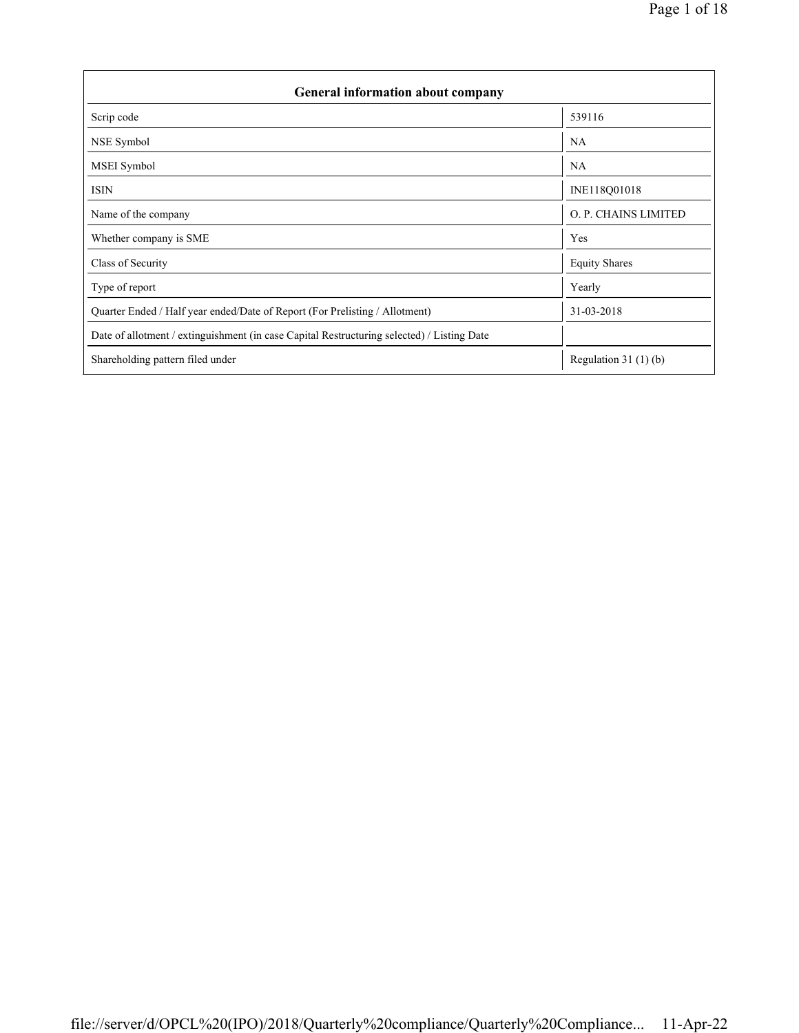| <b>General information about company</b>                                                   |                       |  |  |  |  |  |  |
|--------------------------------------------------------------------------------------------|-----------------------|--|--|--|--|--|--|
| Scrip code                                                                                 | 539116                |  |  |  |  |  |  |
| NSE Symbol                                                                                 | <b>NA</b>             |  |  |  |  |  |  |
| MSEI Symbol                                                                                | NA                    |  |  |  |  |  |  |
| <b>ISIN</b>                                                                                | INE118Q01018          |  |  |  |  |  |  |
| Name of the company                                                                        | O. P. CHAINS LIMITED  |  |  |  |  |  |  |
| Whether company is SME                                                                     | Yes                   |  |  |  |  |  |  |
| Class of Security                                                                          | <b>Equity Shares</b>  |  |  |  |  |  |  |
| Type of report                                                                             | Yearly                |  |  |  |  |  |  |
| Quarter Ended / Half year ended/Date of Report (For Prelisting / Allotment)                | 31-03-2018            |  |  |  |  |  |  |
| Date of allotment / extinguishment (in case Capital Restructuring selected) / Listing Date |                       |  |  |  |  |  |  |
| Shareholding pattern filed under                                                           | Regulation $31(1)(b)$ |  |  |  |  |  |  |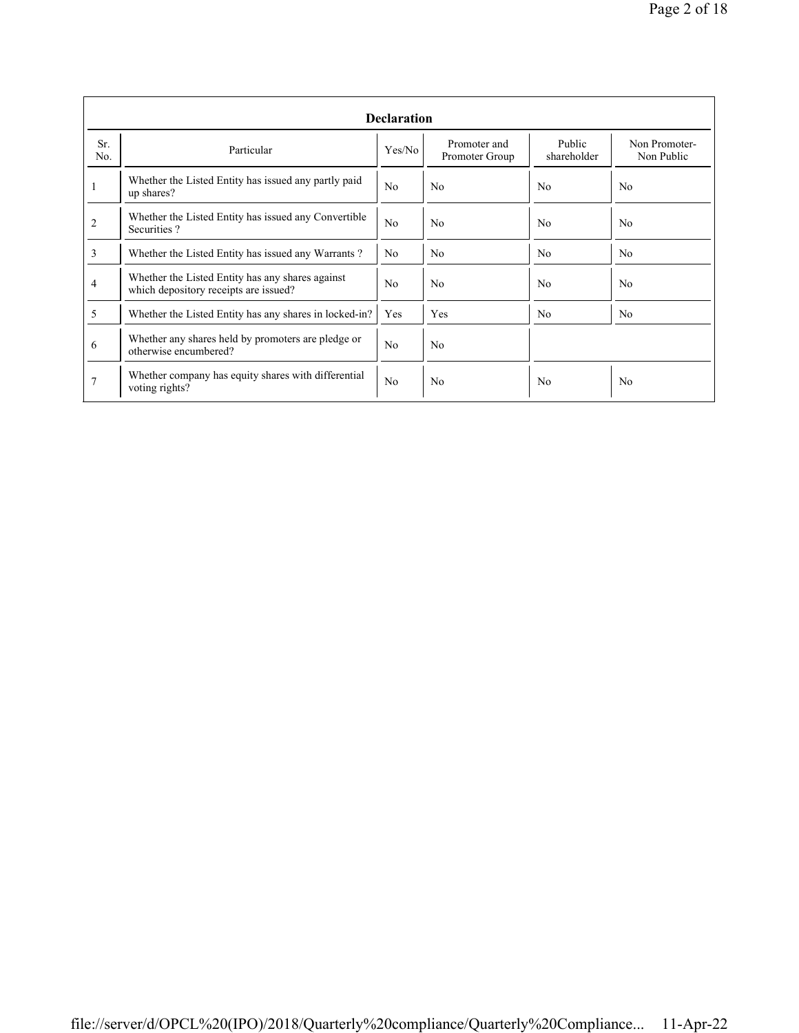|                | <b>Declaration</b>                                                                        |                |                                |                       |                             |  |  |  |  |
|----------------|-------------------------------------------------------------------------------------------|----------------|--------------------------------|-----------------------|-----------------------------|--|--|--|--|
| Sr.<br>No.     | Particular                                                                                | Yes/No         | Promoter and<br>Promoter Group | Public<br>shareholder | Non Promoter-<br>Non Public |  |  |  |  |
| 1              | Whether the Listed Entity has issued any partly paid<br>up shares?                        | N <sub>0</sub> | N <sub>0</sub>                 | No                    | N <sub>0</sub>              |  |  |  |  |
| $\overline{c}$ | Whether the Listed Entity has issued any Convertible<br>Securities?                       | N <sub>0</sub> | N <sub>0</sub>                 | N <sub>0</sub>        | N <sub>0</sub>              |  |  |  |  |
| 3              | Whether the Listed Entity has issued any Warrants?                                        | N <sub>0</sub> | N <sub>0</sub>                 | N <sub>0</sub>        | N <sub>0</sub>              |  |  |  |  |
| 4              | Whether the Listed Entity has any shares against<br>which depository receipts are issued? |                | N <sub>0</sub>                 | N <sub>0</sub>        | N <sub>0</sub>              |  |  |  |  |
| 5              | Whether the Listed Entity has any shares in locked-in?                                    | Yes            | Yes                            | N <sub>0</sub>        | N <sub>0</sub>              |  |  |  |  |
| 6              | Whether any shares held by promoters are pledge or<br>otherwise encumbered?               | No             | No                             |                       |                             |  |  |  |  |
| 7              | Whether company has equity shares with differential<br>voting rights?                     | N <sub>0</sub> | N <sub>0</sub>                 | No                    | N <sub>0</sub>              |  |  |  |  |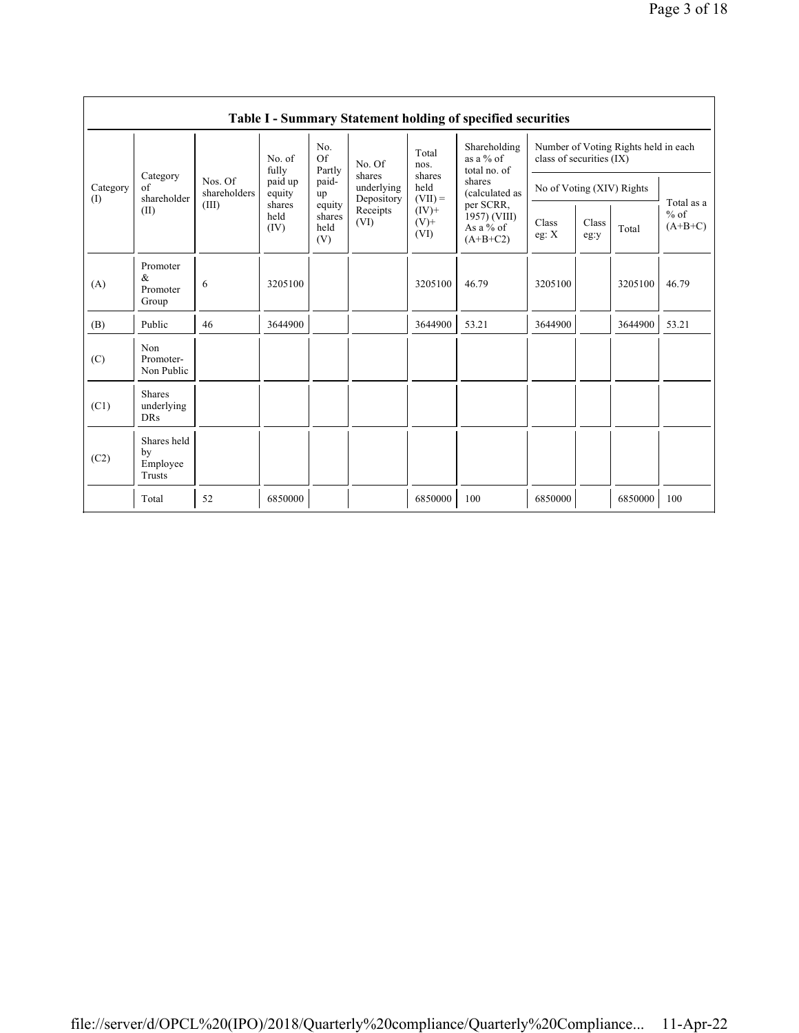|                 | Table I - Summary Statement holding of specified securities |                                  |                                                                |                                                |                                                                  |                                                            |                                                                                                                                   |                                                                  |               |         |                                   |
|-----------------|-------------------------------------------------------------|----------------------------------|----------------------------------------------------------------|------------------------------------------------|------------------------------------------------------------------|------------------------------------------------------------|-----------------------------------------------------------------------------------------------------------------------------------|------------------------------------------------------------------|---------------|---------|-----------------------------------|
| Category<br>(I) | Category<br>of<br>shareholder<br>(II)                       | Nos. Of<br>shareholders<br>(III) | No. of<br>fully<br>paid up<br>equity<br>shares<br>held<br>(IV) | No.<br>Of<br>Partly                            | No. Of<br>shares<br>underlying<br>Depository<br>Receipts<br>(VI) | Total<br>nos.                                              | Shareholding<br>as a $%$ of<br>total no. of<br>shares<br>(calculated as<br>per SCRR,<br>1957) (VIII)<br>As a $%$ of<br>$(A+B+C2)$ | Number of Voting Rights held in each<br>class of securities (IX) |               |         |                                   |
|                 |                                                             |                                  |                                                                | paid-<br>up<br>equity<br>shares<br>held<br>(V) |                                                                  | shares<br>held<br>$(VII) =$<br>$(IV)$ +<br>$(V)$ +<br>(VI) |                                                                                                                                   | No of Voting (XIV) Rights                                        |               |         | Total as a<br>$%$ of<br>$(A+B+C)$ |
|                 |                                                             |                                  |                                                                |                                                |                                                                  |                                                            |                                                                                                                                   | Class<br>eg: X                                                   | Class<br>eg:y | Total   |                                   |
| (A)             | Promoter<br>&<br>Promoter<br>Group                          | 6                                | 3205100                                                        |                                                |                                                                  | 3205100                                                    | 46.79                                                                                                                             | 3205100                                                          |               | 3205100 | 46.79                             |
| (B)             | Public                                                      | 46                               | 3644900                                                        |                                                |                                                                  | 3644900                                                    | 53.21                                                                                                                             | 3644900                                                          |               | 3644900 | 53.21                             |
| (C)             | Non<br>Promoter-<br>Non Public                              |                                  |                                                                |                                                |                                                                  |                                                            |                                                                                                                                   |                                                                  |               |         |                                   |
| (C1)            | <b>Shares</b><br>underlying<br><b>DRs</b>                   |                                  |                                                                |                                                |                                                                  |                                                            |                                                                                                                                   |                                                                  |               |         |                                   |
| (C2)            | Shares held<br>by<br>Employee<br>Trusts                     |                                  |                                                                |                                                |                                                                  |                                                            |                                                                                                                                   |                                                                  |               |         |                                   |
|                 | Total                                                       | 52                               | 6850000                                                        |                                                |                                                                  | 6850000                                                    | 100                                                                                                                               | 6850000                                                          |               | 6850000 | 100                               |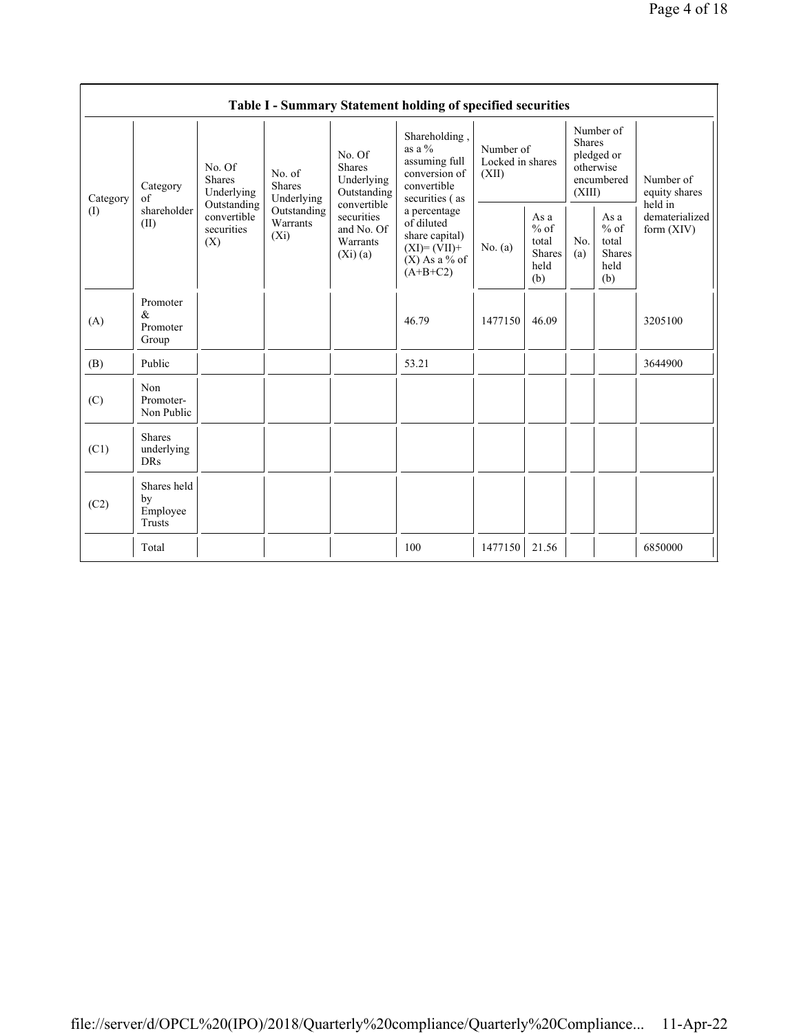|          | Table I - Summary Statement holding of specified securities                                                                                                                                                                                                                                     |            |                                                                                                |                           |                                                                                               |                                        |                                                         |                                                                               |  |                                                                         |
|----------|-------------------------------------------------------------------------------------------------------------------------------------------------------------------------------------------------------------------------------------------------------------------------------------------------|------------|------------------------------------------------------------------------------------------------|---------------------------|-----------------------------------------------------------------------------------------------|----------------------------------------|---------------------------------------------------------|-------------------------------------------------------------------------------|--|-------------------------------------------------------------------------|
| Category | No. Of<br><b>Shares</b><br>No. Of<br>No. of<br><b>Shares</b><br><b>Shares</b><br>Category<br>Underlying<br>of<br>Underlying<br>Outstanding<br>convertible<br>shareholder<br>Outstanding<br>convertible<br>securities<br>Warrants<br>(II)<br>securities<br>$(X_i)$<br>(X)<br>Warrants<br>(Xi)(a) |            |                                                                                                | Underlying<br>Outstanding | Shareholding,<br>as a $\%$<br>assuming full<br>conversion of<br>convertible<br>securities (as | Number of<br>Locked in shares<br>(XII) |                                                         | Number of<br><b>Shares</b><br>pledged or<br>otherwise<br>encumbered<br>(XIII) |  | Number of<br>equity shares<br>held in<br>dematerialized<br>form $(XIV)$ |
| (1)      |                                                                                                                                                                                                                                                                                                 | and No. Of | a percentage<br>of diluted<br>share capital)<br>$(XI)=(VII)+$<br>$(X)$ As a % of<br>$(A+B+C2)$ | No. $(a)$                 | As a<br>$%$ of<br>total<br><b>Shares</b><br>held<br>(b)                                       | No.<br>(a)                             | As a<br>$%$ of<br>total<br><b>Shares</b><br>held<br>(b) |                                                                               |  |                                                                         |
| (A)      | Promoter<br>$\&$<br>Promoter<br>Group                                                                                                                                                                                                                                                           |            |                                                                                                |                           | 46.79                                                                                         | 1477150                                | 46.09                                                   |                                                                               |  | 3205100                                                                 |
| (B)      | Public                                                                                                                                                                                                                                                                                          |            |                                                                                                |                           | 53.21                                                                                         |                                        |                                                         |                                                                               |  | 3644900                                                                 |
| (C)      | Non<br>Promoter-<br>Non Public                                                                                                                                                                                                                                                                  |            |                                                                                                |                           |                                                                                               |                                        |                                                         |                                                                               |  |                                                                         |
| (C1)     | <b>Shares</b><br>underlying<br><b>DRs</b>                                                                                                                                                                                                                                                       |            |                                                                                                |                           |                                                                                               |                                        |                                                         |                                                                               |  |                                                                         |
| (C2)     | Shares held<br>by<br>Employee<br>Trusts                                                                                                                                                                                                                                                         |            |                                                                                                |                           |                                                                                               |                                        |                                                         |                                                                               |  |                                                                         |
|          | Total                                                                                                                                                                                                                                                                                           |            |                                                                                                |                           | 100                                                                                           | 1477150                                | 21.56                                                   |                                                                               |  | 6850000                                                                 |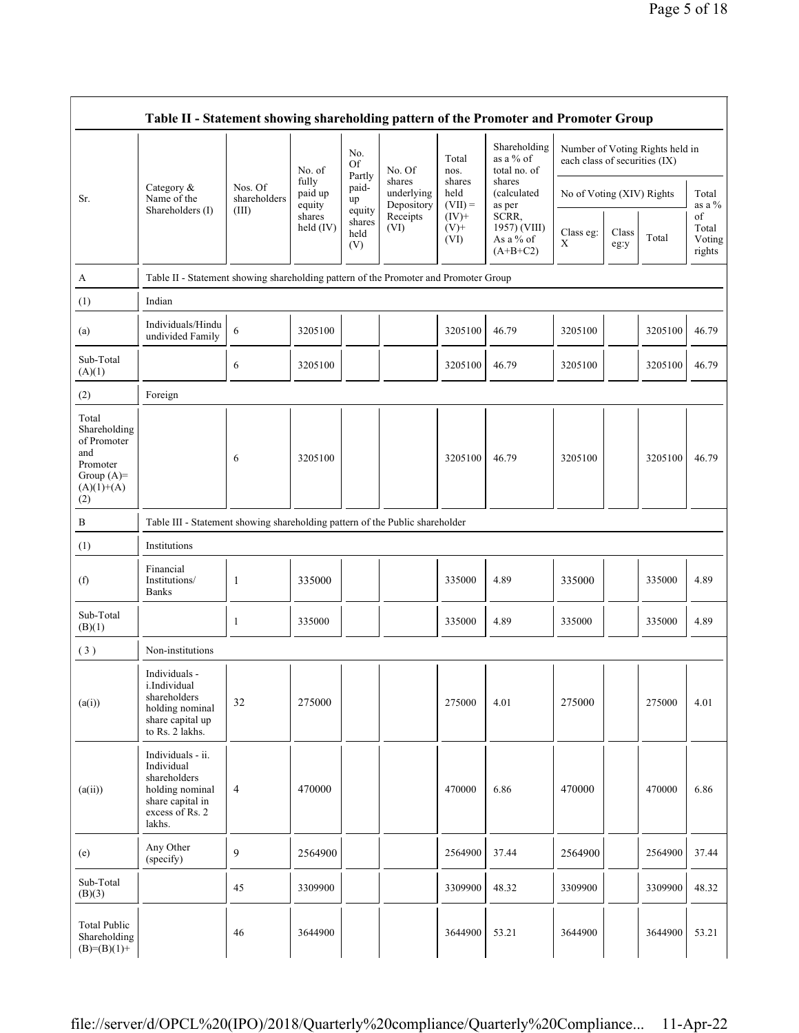|                                                                                                | Table II - Statement showing shareholding pattern of the Promoter and Promoter Group                                |                         |                            |                                 |                                    |                             |                                                                                     |                               |               |                                 |                                 |
|------------------------------------------------------------------------------------------------|---------------------------------------------------------------------------------------------------------------------|-------------------------|----------------------------|---------------------------------|------------------------------------|-----------------------------|-------------------------------------------------------------------------------------|-------------------------------|---------------|---------------------------------|---------------------------------|
|                                                                                                |                                                                                                                     |                         | No. of                     | No.<br>Of<br>Partly             | No. Of                             | Total<br>nos.               | Shareholding<br>as a % of<br>total no. of                                           | each class of securities (IX) |               | Number of Voting Rights held in |                                 |
| Sr.                                                                                            | Category $\&$<br>Name of the                                                                                        | Nos. Of<br>shareholders | fully<br>paid up<br>equity | paid-<br>up                     | shares<br>underlying<br>Depository | shares<br>held<br>$(VII) =$ | shares<br>(calculated<br>as per<br>SCRR,<br>1957) (VIII)<br>As a % of<br>$(A+B+C2)$ | No of Voting (XIV) Rights     |               |                                 | Total<br>as a $%$               |
|                                                                                                | Shareholders (I)                                                                                                    | (III)                   | shares<br>held (IV)        | equity<br>shares<br>held<br>(V) | Receipts<br>(VI)                   | $(IV)+$<br>$(V)$ +<br>(VI)  |                                                                                     | Class eg:<br>Χ                | Class<br>eg:y | Total                           | of<br>Total<br>Voting<br>rights |
| A                                                                                              | Table II - Statement showing shareholding pattern of the Promoter and Promoter Group                                |                         |                            |                                 |                                    |                             |                                                                                     |                               |               |                                 |                                 |
| (1)                                                                                            | Indian                                                                                                              |                         |                            |                                 |                                    |                             |                                                                                     |                               |               |                                 |                                 |
| (a)                                                                                            | Individuals/Hindu<br>undivided Family                                                                               | 6                       | 3205100                    |                                 |                                    | 3205100                     | 46.79                                                                               | 3205100                       |               | 3205100                         | 46.79                           |
| Sub-Total<br>(A)(1)                                                                            |                                                                                                                     | 6                       | 3205100                    |                                 |                                    | 3205100                     | 46.79                                                                               | 3205100                       |               | 3205100                         | 46.79                           |
| (2)                                                                                            | Foreign                                                                                                             |                         |                            |                                 |                                    |                             |                                                                                     |                               |               |                                 |                                 |
| Total<br>Shareholding<br>of Promoter<br>and<br>Promoter<br>Group $(A)=$<br>$(A)(1)+(A)$<br>(2) |                                                                                                                     | 6                       | 3205100                    |                                 |                                    | 3205100                     | 46.79                                                                               | 3205100                       |               | 3205100                         | 46.79                           |
| $\, {\bf B}$                                                                                   | Table III - Statement showing shareholding pattern of the Public shareholder                                        |                         |                            |                                 |                                    |                             |                                                                                     |                               |               |                                 |                                 |
| (1)                                                                                            | Institutions                                                                                                        |                         |                            |                                 |                                    |                             |                                                                                     |                               |               |                                 |                                 |
| (f)                                                                                            | Financial<br>Institutions/<br><b>Banks</b>                                                                          | -1                      | 335000                     |                                 |                                    | 335000                      | 4.89                                                                                | 335000                        |               | 335000                          | 4.89                            |
| Sub-Total<br>(B)(1)                                                                            |                                                                                                                     | 1                       | 335000                     |                                 |                                    | 335000                      | 4.89                                                                                | 335000                        |               | 335000                          | 4.89                            |
| (3)                                                                                            | Non-institutions                                                                                                    |                         |                            |                                 |                                    |                             |                                                                                     |                               |               |                                 |                                 |
| (a(i))                                                                                         | Individuals -<br>i.Individual<br>shareholders<br>holding nominal<br>share capital up<br>to Rs. 2 lakhs.             | 32                      | 275000                     |                                 |                                    | 275000                      | 4.01                                                                                | 275000                        |               | 275000                          | 4.01                            |
| (a(ii))                                                                                        | Individuals - ii.<br>Individual<br>shareholders<br>holding nominal<br>share capital in<br>excess of Rs. 2<br>lakhs. | 4                       | 470000                     |                                 |                                    | 470000                      | 6.86                                                                                | 470000                        |               | 470000                          | 6.86                            |
| (e)                                                                                            | Any Other<br>(specify)                                                                                              | 9                       | 2564900                    |                                 |                                    | 2564900                     | 37.44                                                                               | 2564900                       |               | 2564900                         | 37.44                           |
| Sub-Total<br>(B)(3)                                                                            |                                                                                                                     | 45                      | 3309900                    |                                 |                                    | 3309900                     | 48.32                                                                               | 3309900                       |               | 3309900                         | 48.32                           |
| Total Public<br>Shareholding<br>$(B)= (B)(1) +$                                                |                                                                                                                     | 46                      | 3644900                    |                                 |                                    | 3644900                     | 53.21                                                                               | 3644900                       |               | 3644900                         | 53.21                           |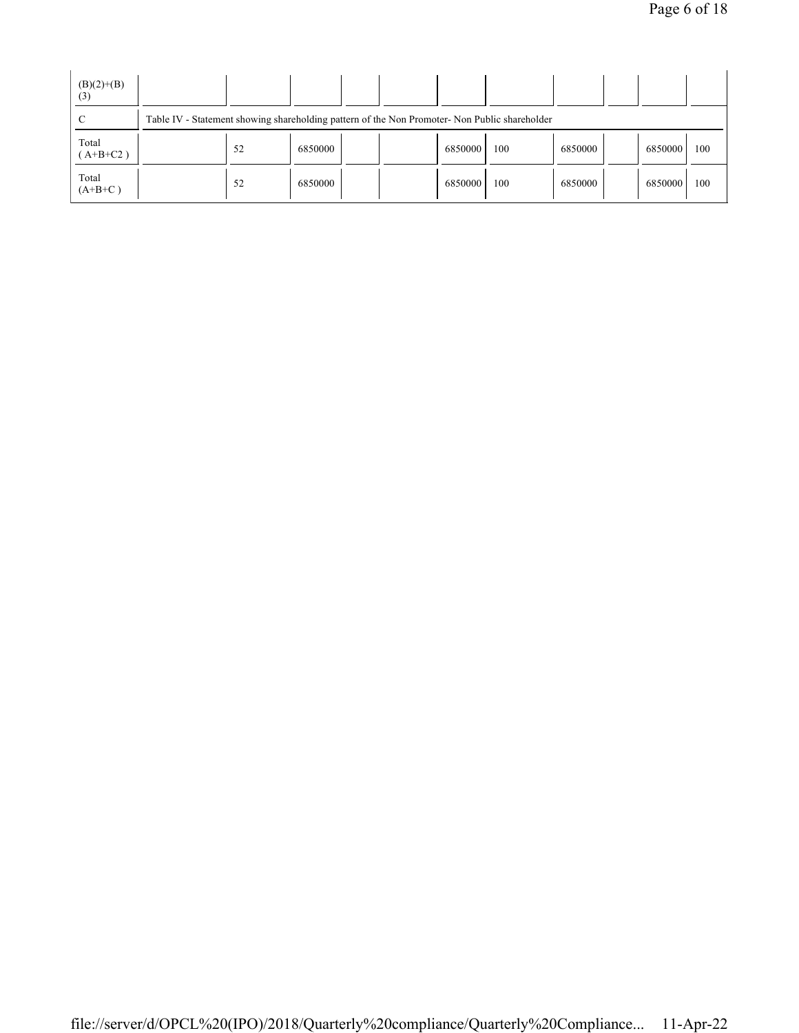| $(B)(2)+(B)$<br>(3) |                                                                                               |         |  |  |         |     |         |  |         |     |
|---------------------|-----------------------------------------------------------------------------------------------|---------|--|--|---------|-----|---------|--|---------|-----|
|                     | Table IV - Statement showing shareholding pattern of the Non Promoter- Non Public shareholder |         |  |  |         |     |         |  |         |     |
| Total<br>$(A+B+C2)$ | 52                                                                                            | 6850000 |  |  | 6850000 | 100 | 6850000 |  | 6850000 | 100 |
| Total<br>$(A+B+C)$  | 52                                                                                            | 6850000 |  |  | 6850000 | 100 | 6850000 |  | 6850000 | 100 |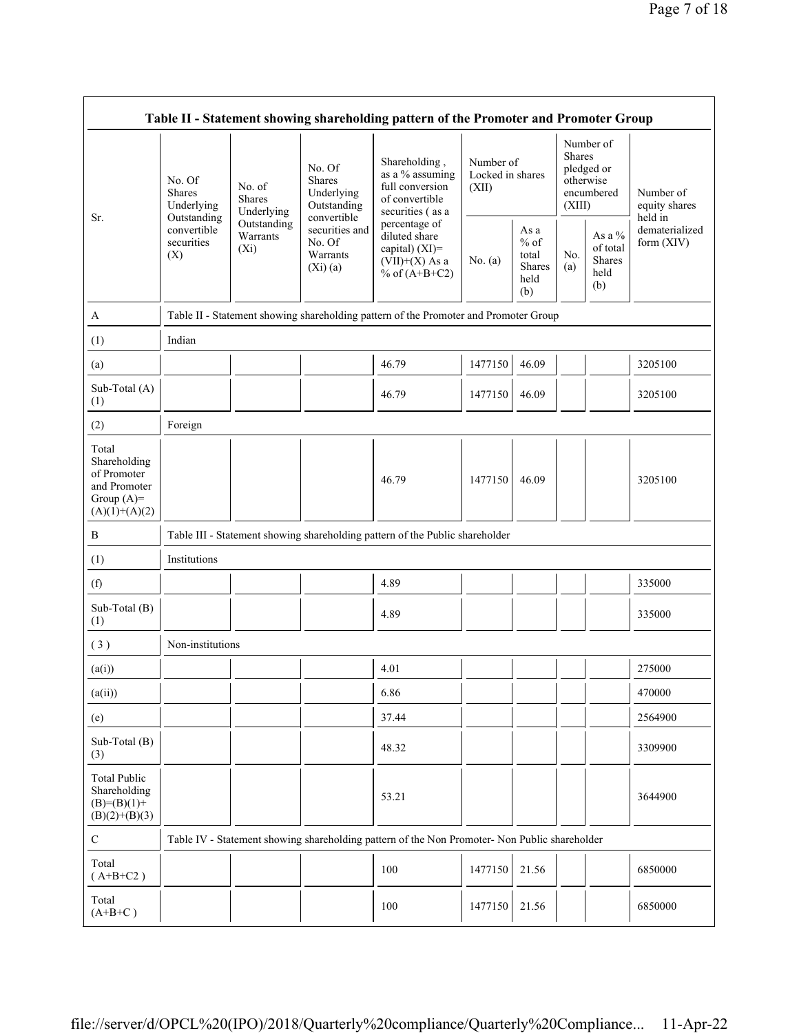| Table II - Statement showing shareholding pattern of the Promoter and Promoter Group    |                                                                                 |                                    |                                                                     |                                                                                                            |                                        |                                                  |                                                                               |                                                    |                                         |
|-----------------------------------------------------------------------------------------|---------------------------------------------------------------------------------|------------------------------------|---------------------------------------------------------------------|------------------------------------------------------------------------------------------------------------|----------------------------------------|--------------------------------------------------|-------------------------------------------------------------------------------|----------------------------------------------------|-----------------------------------------|
| Sr.                                                                                     | No. Of<br>No. of<br><b>Shares</b><br><b>Shares</b><br>Underlying<br>Outstanding | Underlying                         | No. Of<br><b>Shares</b><br>Underlying<br>Outstanding<br>convertible | Shareholding,<br>as a % assuming<br>full conversion<br>of convertible<br>securities (as a<br>percentage of | Number of<br>Locked in shares<br>(XII) |                                                  | Number of<br><b>Shares</b><br>pledged or<br>otherwise<br>encumbered<br>(XIII) |                                                    | Number of<br>equity shares              |
|                                                                                         | convertible<br>securities<br>(X)                                                | Outstanding<br>Warrants<br>$(X_i)$ | securities and<br>No. Of<br>Warrants<br>(Xi)(a)                     |                                                                                                            | No. $(a)$                              | As a<br>$%$ of<br>total<br>Shares<br>held<br>(b) | No.<br>(a)                                                                    | As a %<br>of total<br><b>Shares</b><br>held<br>(b) | held in<br>dematerialized<br>form (XIV) |
| A                                                                                       |                                                                                 |                                    |                                                                     | Table II - Statement showing shareholding pattern of the Promoter and Promoter Group                       |                                        |                                                  |                                                                               |                                                    |                                         |
| (1)                                                                                     | Indian                                                                          |                                    |                                                                     |                                                                                                            |                                        |                                                  |                                                                               |                                                    |                                         |
| (a)                                                                                     |                                                                                 |                                    |                                                                     | 46.79                                                                                                      | 1477150                                | 46.09                                            |                                                                               |                                                    | 3205100                                 |
| Sub-Total (A)<br>(1)                                                                    |                                                                                 |                                    |                                                                     | 46.79                                                                                                      | 1477150                                | 46.09                                            |                                                                               |                                                    | 3205100                                 |
| (2)                                                                                     | Foreign                                                                         |                                    |                                                                     |                                                                                                            |                                        |                                                  |                                                                               |                                                    |                                         |
| Total<br>Shareholding<br>of Promoter<br>and Promoter<br>Group $(A)=$<br>$(A)(1)+(A)(2)$ |                                                                                 |                                    |                                                                     | 46.79                                                                                                      | 1477150                                | 46.09                                            |                                                                               |                                                    | 3205100                                 |
| B                                                                                       |                                                                                 |                                    |                                                                     | Table III - Statement showing shareholding pattern of the Public shareholder                               |                                        |                                                  |                                                                               |                                                    |                                         |
| (1)                                                                                     | Institutions                                                                    |                                    |                                                                     |                                                                                                            |                                        |                                                  |                                                                               |                                                    |                                         |
| (f)                                                                                     |                                                                                 |                                    |                                                                     | 4.89                                                                                                       |                                        |                                                  |                                                                               |                                                    | 335000                                  |
| Sub-Total (B)<br>(1)                                                                    |                                                                                 |                                    |                                                                     | 4.89                                                                                                       |                                        |                                                  |                                                                               |                                                    | 335000                                  |
| (3)                                                                                     | Non-institutions                                                                |                                    |                                                                     |                                                                                                            |                                        |                                                  |                                                                               |                                                    |                                         |
| (a(i))                                                                                  |                                                                                 |                                    |                                                                     | 4.01                                                                                                       |                                        |                                                  |                                                                               |                                                    | 275000                                  |
| (a(ii))                                                                                 |                                                                                 | J.                                 |                                                                     | 6.86                                                                                                       | $\mathbf{I}$<br>$\mathbf{I}$           |                                                  | $\mathbf{I}$                                                                  | $\mathbf{I}$                                       | 470000                                  |
| (e)                                                                                     |                                                                                 |                                    |                                                                     | 37.44                                                                                                      |                                        |                                                  |                                                                               |                                                    | 2564900                                 |
| Sub-Total (B)<br>(3)                                                                    |                                                                                 |                                    |                                                                     | 48.32                                                                                                      |                                        |                                                  |                                                                               |                                                    | 3309900                                 |
| <b>Total Public</b><br>Shareholding<br>$(B)= (B)(1) +$<br>$(B)(2)+(B)(3)$               |                                                                                 |                                    |                                                                     | 53.21                                                                                                      |                                        |                                                  |                                                                               |                                                    | 3644900                                 |
| $\mathbf C$                                                                             |                                                                                 |                                    |                                                                     | Table IV - Statement showing shareholding pattern of the Non Promoter- Non Public shareholder              |                                        |                                                  |                                                                               |                                                    |                                         |
| Total<br>$(A+B+C2)$                                                                     |                                                                                 |                                    |                                                                     | 100                                                                                                        | 1477150                                | 21.56                                            |                                                                               |                                                    | 6850000                                 |
| Total<br>$(A+B+C)$                                                                      |                                                                                 |                                    |                                                                     | 100                                                                                                        | 1477150                                | 21.56                                            |                                                                               |                                                    | 6850000                                 |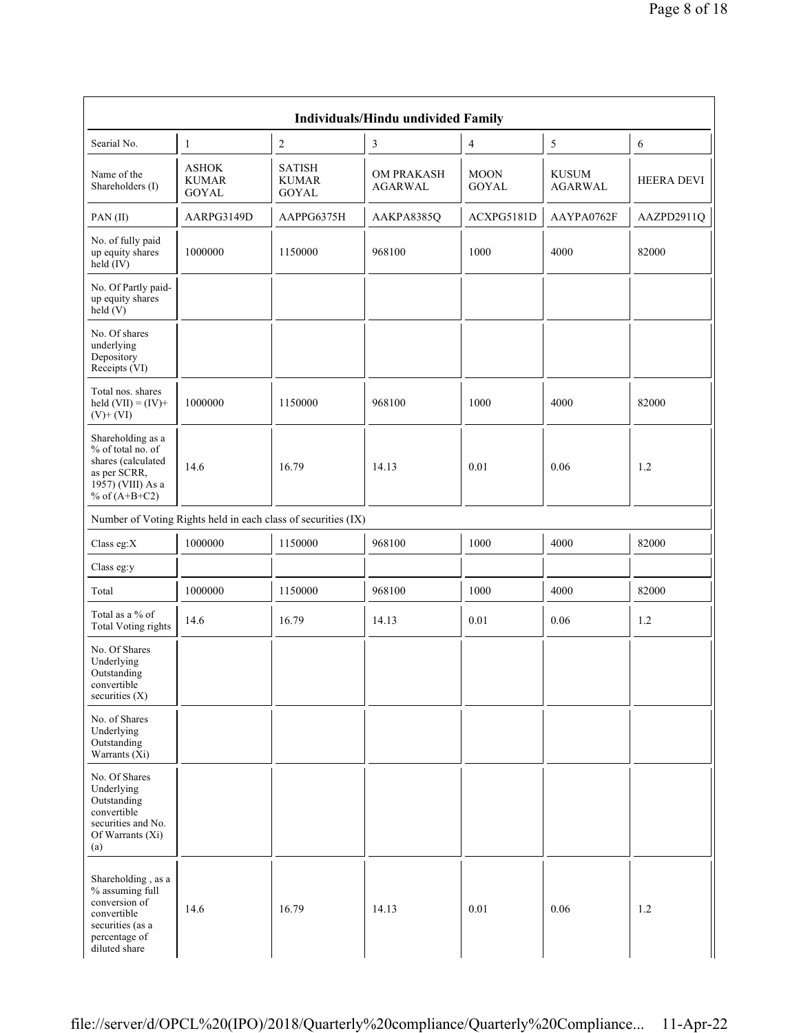|                                                                                                                                    |                                              |                                                               | <b>Individuals/Hindu undivided Family</b> |                             |                                |                   |
|------------------------------------------------------------------------------------------------------------------------------------|----------------------------------------------|---------------------------------------------------------------|-------------------------------------------|-----------------------------|--------------------------------|-------------------|
| Searial No.                                                                                                                        | 1                                            | $\boldsymbol{2}$                                              | 3                                         | 4                           | 5                              | 6                 |
| Name of the<br>Shareholders (I)                                                                                                    | <b>ASHOK</b><br><b>KUMAR</b><br><b>GOYAL</b> | <b>SATISH</b><br><b>KUMAR</b><br><b>GOYAL</b>                 | <b>OM PRAKASH</b><br>AGARWAL              | <b>MOON</b><br><b>GOYAL</b> | <b>KUSUM</b><br><b>AGARWAL</b> | <b>HEERA DEVI</b> |
| PAN(II)                                                                                                                            | AARPG3149D                                   | AAPPG6375H                                                    | AAKPA8385Q                                | ACXPG5181D                  | AAYPA0762F                     | AAZPD2911Q        |
| No. of fully paid<br>up equity shares<br>$held$ (IV)                                                                               | 1000000                                      | 1150000                                                       | 968100                                    | 1000                        | 4000                           | 82000             |
| No. Of Partly paid-<br>up equity shares<br>held(V)                                                                                 |                                              |                                                               |                                           |                             |                                |                   |
| No. Of shares<br>underlying<br>Depository<br>Receipts (VI)                                                                         |                                              |                                                               |                                           |                             |                                |                   |
| Total nos. shares<br>held $(VII) = (IV) +$<br>$(V)$ + $(VI)$                                                                       | 1000000                                      | 1150000                                                       | 968100                                    | 1000                        | 4000                           | 82000             |
| Shareholding as a<br>% of total no. of<br>shares (calculated<br>as per SCRR,<br>$19\overline{57}$ ) (VIII) As a<br>% of $(A+B+C2)$ | 14.6                                         | 16.79                                                         | 14.13                                     | 0.01                        | 0.06                           | 1.2               |
|                                                                                                                                    |                                              | Number of Voting Rights held in each class of securities (IX) |                                           |                             |                                |                   |
| Class eg: $X$                                                                                                                      | 1000000                                      | 1150000                                                       | 968100                                    | 1000                        | 4000                           | 82000             |
| Class eg:y                                                                                                                         |                                              |                                                               |                                           |                             |                                |                   |
| Total                                                                                                                              | 1000000                                      | 1150000                                                       | 968100                                    | 1000                        | 4000                           | 82000             |
| Total as a % of<br>Total Voting rights                                                                                             | 14.6                                         | 16.79                                                         | 14.13                                     | 0.01                        | 0.06                           | 1.2               |
| No. Of Shares<br>Underlying<br>Outstanding<br>convertible<br>securities $(X)$                                                      |                                              |                                                               |                                           |                             |                                |                   |
| No. of Shares<br>Underlying<br>Outstanding<br>Warrants $(X_i)$                                                                     |                                              |                                                               |                                           |                             |                                |                   |
| No. Of Shares<br>Underlying<br>Outstanding<br>convertible<br>securities and No.<br>Of Warrants (Xi)<br>(a)                         |                                              |                                                               |                                           |                             |                                |                   |
| Shareholding, as a<br>% assuming full<br>conversion of<br>convertible<br>securities (as a<br>percentage of<br>diluted share        | 14.6                                         | 16.79                                                         | 14.13                                     | 0.01                        | 0.06                           | 1.2               |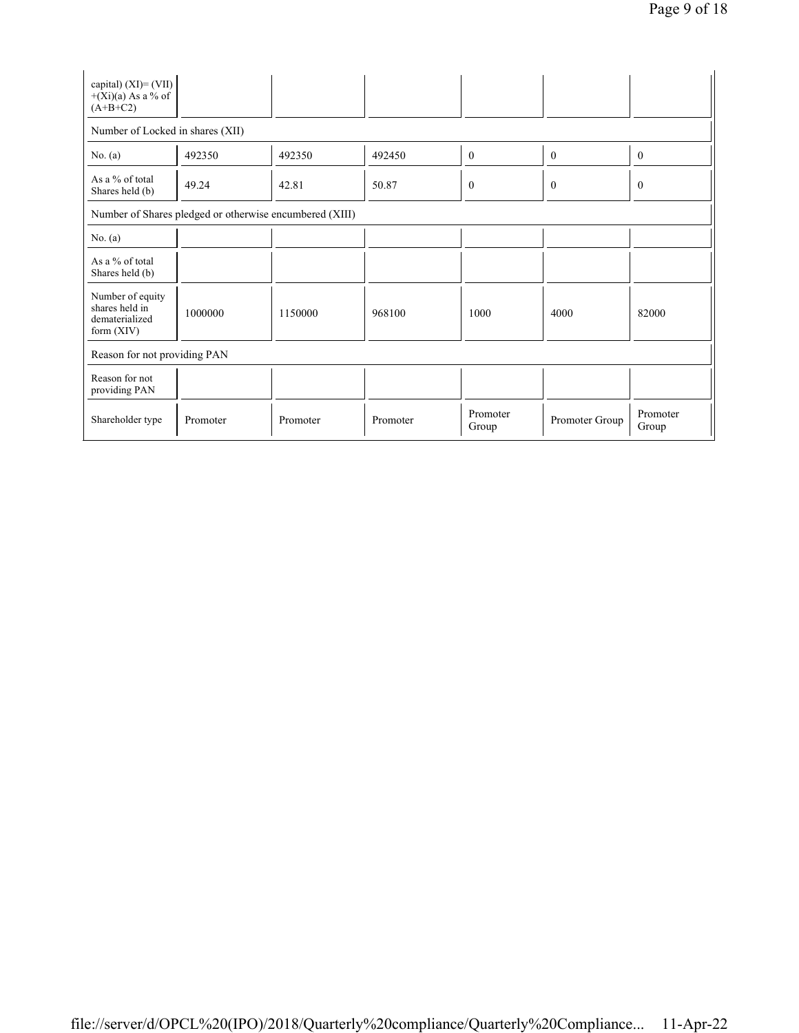| capital) $(XI) = (VII)$<br>$+(Xi)(a)$ As a % of<br>$(A+B+C2)$        |          |          |          |                   |                |                   |  |  |  |  |
|----------------------------------------------------------------------|----------|----------|----------|-------------------|----------------|-------------------|--|--|--|--|
| Number of Locked in shares (XII)                                     |          |          |          |                   |                |                   |  |  |  |  |
| No. (a)                                                              | 492350   | 492350   | 492450   | $\mathbf{0}$      | $\mathbf{0}$   | $\boldsymbol{0}$  |  |  |  |  |
| As $a\%$ of total<br>Shares held (b)                                 | 49.24    | 42.81    | 50.87    | $\mathbf{0}$      | $\theta$       | $\boldsymbol{0}$  |  |  |  |  |
| Number of Shares pledged or otherwise encumbered (XIII)              |          |          |          |                   |                |                   |  |  |  |  |
| No. (a)                                                              |          |          |          |                   |                |                   |  |  |  |  |
| As a % of total<br>Shares held (b)                                   |          |          |          |                   |                |                   |  |  |  |  |
| Number of equity<br>shares held in<br>dematerialized<br>form $(XIV)$ | 1000000  | 1150000  | 968100   | 1000              | 4000           | 82000             |  |  |  |  |
| Reason for not providing PAN                                         |          |          |          |                   |                |                   |  |  |  |  |
| Reason for not<br>providing PAN                                      |          |          |          |                   |                |                   |  |  |  |  |
| Shareholder type                                                     | Promoter | Promoter | Promoter | Promoter<br>Group | Promoter Group | Promoter<br>Group |  |  |  |  |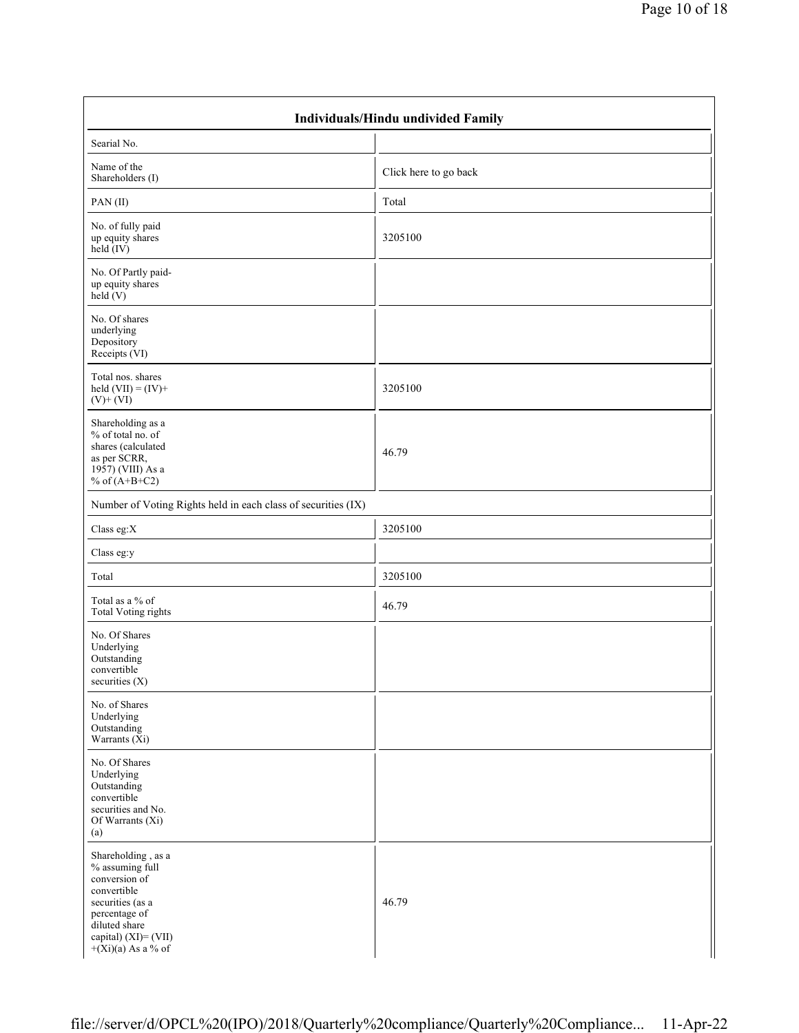| Individuals/Hindu undivided Family                                                                                                                                          |                       |  |  |  |  |  |  |  |
|-----------------------------------------------------------------------------------------------------------------------------------------------------------------------------|-----------------------|--|--|--|--|--|--|--|
| Searial No.                                                                                                                                                                 |                       |  |  |  |  |  |  |  |
| Name of the<br>Shareholders (I)                                                                                                                                             | Click here to go back |  |  |  |  |  |  |  |
| PAN(II)                                                                                                                                                                     | Total                 |  |  |  |  |  |  |  |
| No. of fully paid<br>up equity shares<br>$\text{held} (IV)$                                                                                                                 | 3205100               |  |  |  |  |  |  |  |
| No. Of Partly paid-<br>up equity shares<br>held $(V)$                                                                                                                       |                       |  |  |  |  |  |  |  |
| No. Of shares<br>underlying<br>Depository<br>Receipts (VI)                                                                                                                  |                       |  |  |  |  |  |  |  |
| Total nos. shares<br>held $(VII) = (IV) +$<br>$(V)$ + $(VI)$                                                                                                                | 3205100               |  |  |  |  |  |  |  |
| Shareholding as a<br>% of total no. of<br>shares (calculated<br>as per SCRR,<br>1957) (VIII) As a<br>% of $(A+B+C2)$                                                        | 46.79                 |  |  |  |  |  |  |  |
| Number of Voting Rights held in each class of securities (IX)                                                                                                               |                       |  |  |  |  |  |  |  |
| Class eg: $X$                                                                                                                                                               | 3205100               |  |  |  |  |  |  |  |
| Class eg:y                                                                                                                                                                  |                       |  |  |  |  |  |  |  |
| Total                                                                                                                                                                       | 3205100               |  |  |  |  |  |  |  |
| Total as a % of<br><b>Total Voting rights</b>                                                                                                                               | 46.79                 |  |  |  |  |  |  |  |
| No. Of Shares<br>Underlying<br>Outstanding<br>convertible<br>securities (X)                                                                                                 |                       |  |  |  |  |  |  |  |
| No. of Shares<br>Underlying<br>Outstanding<br>Warrants $(X_i)$                                                                                                              |                       |  |  |  |  |  |  |  |
| No. Of Shares<br>Underlying<br>Outstanding<br>convertible<br>securities and No.<br>Of Warrants (Xi)<br>(a)                                                                  |                       |  |  |  |  |  |  |  |
| Shareholding, as a<br>% assuming full<br>conversion of<br>convertible<br>securities (as a<br>percentage of<br>diluted share<br>capital) (XI)= (VII)<br>$+(Xi)(a)$ As a % of | 46.79                 |  |  |  |  |  |  |  |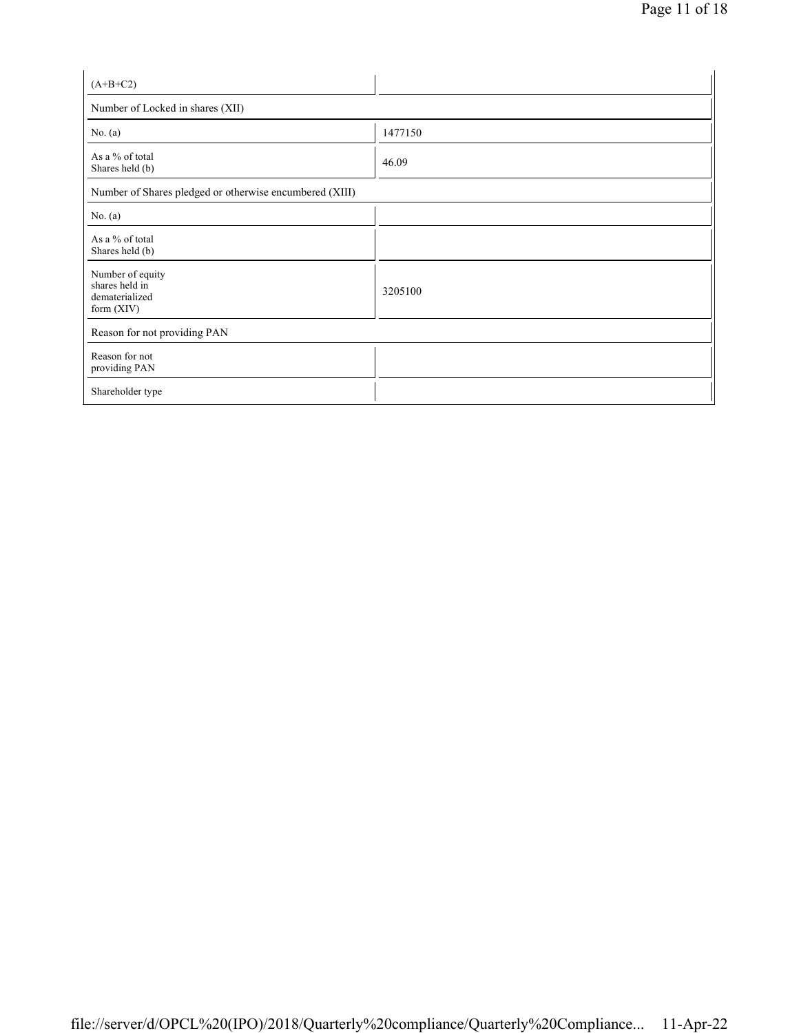| $(A+B+C2)$                                                           |         |  |  |  |  |  |  |
|----------------------------------------------------------------------|---------|--|--|--|--|--|--|
| Number of Locked in shares (XII)                                     |         |  |  |  |  |  |  |
| No. $(a)$                                                            | 1477150 |  |  |  |  |  |  |
| As a % of total<br>Shares held (b)                                   | 46.09   |  |  |  |  |  |  |
| Number of Shares pledged or otherwise encumbered (XIII)              |         |  |  |  |  |  |  |
| No. $(a)$                                                            |         |  |  |  |  |  |  |
| As a % of total<br>Shares held (b)                                   |         |  |  |  |  |  |  |
| Number of equity<br>shares held in<br>dematerialized<br>form $(XIV)$ | 3205100 |  |  |  |  |  |  |
| Reason for not providing PAN                                         |         |  |  |  |  |  |  |
| Reason for not<br>providing PAN                                      |         |  |  |  |  |  |  |
| Shareholder type                                                     |         |  |  |  |  |  |  |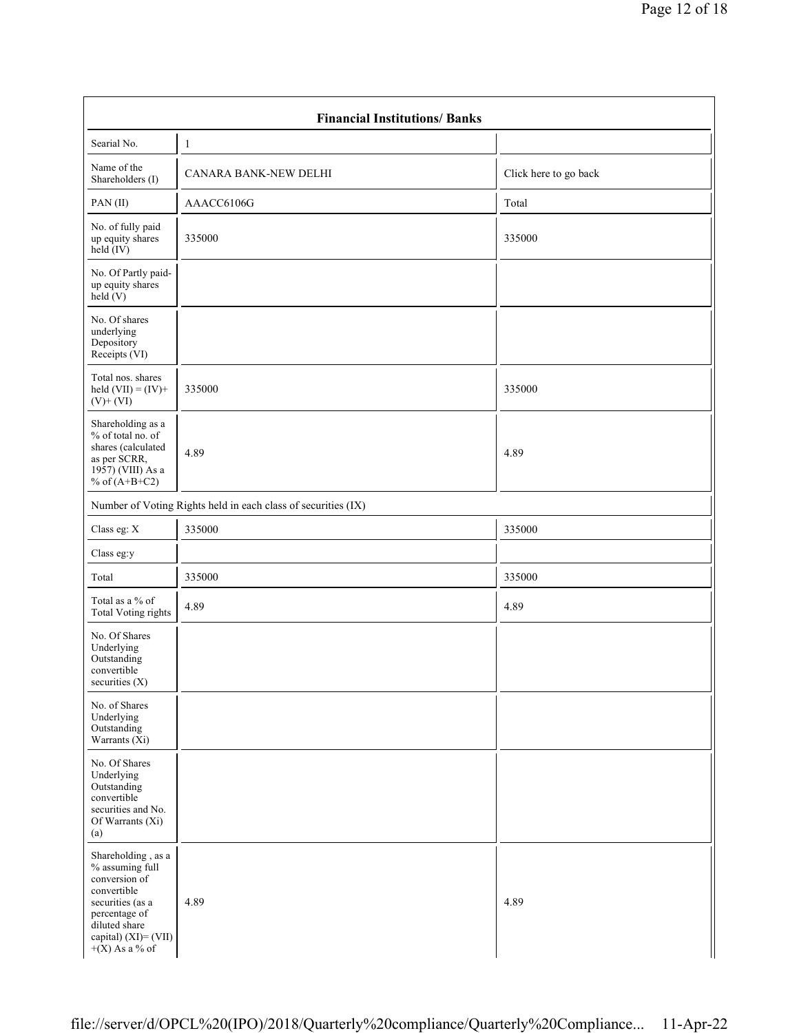| <b>Financial Institutions/Banks</b>                                                                                                                                     |                                                               |                       |  |  |  |  |  |  |  |
|-------------------------------------------------------------------------------------------------------------------------------------------------------------------------|---------------------------------------------------------------|-----------------------|--|--|--|--|--|--|--|
| Searial No.                                                                                                                                                             | $\mathbf{1}$                                                  |                       |  |  |  |  |  |  |  |
| Name of the<br>Shareholders (I)                                                                                                                                         | CANARA BANK-NEW DELHI                                         | Click here to go back |  |  |  |  |  |  |  |
| PAN(II)                                                                                                                                                                 | AAACC6106G                                                    | Total                 |  |  |  |  |  |  |  |
| No. of fully paid<br>up equity shares<br>$held$ (IV)                                                                                                                    | 335000                                                        | 335000                |  |  |  |  |  |  |  |
| No. Of Partly paid-<br>up equity shares<br>held(V)                                                                                                                      |                                                               |                       |  |  |  |  |  |  |  |
| No. Of shares<br>underlying<br>Depository<br>Receipts (VI)                                                                                                              |                                                               |                       |  |  |  |  |  |  |  |
| Total nos. shares<br>held $(VII) = (IV) +$<br>$(V)$ + $(VI)$                                                                                                            | 335000                                                        | 335000                |  |  |  |  |  |  |  |
| Shareholding as a<br>% of total no. of<br>shares (calculated<br>as per SCRR,<br>1957) (VIII) As a<br>% of $(A+B+C2)$                                                    | 4.89                                                          | 4.89                  |  |  |  |  |  |  |  |
|                                                                                                                                                                         | Number of Voting Rights held in each class of securities (IX) |                       |  |  |  |  |  |  |  |
| Class eg: X                                                                                                                                                             | 335000                                                        | 335000                |  |  |  |  |  |  |  |
| Class eg:y                                                                                                                                                              |                                                               |                       |  |  |  |  |  |  |  |
| Total                                                                                                                                                                   | 335000                                                        | 335000                |  |  |  |  |  |  |  |
| Total as a % of<br><b>Total Voting rights</b>                                                                                                                           | 4.89                                                          | 4.89                  |  |  |  |  |  |  |  |
| No. Of Shares<br>Underlying<br>Outstanding<br>convertible<br>securities (X)                                                                                             |                                                               |                       |  |  |  |  |  |  |  |
| No. of Shares<br>Underlying<br>Outstanding<br>Warrants $(X_i)$                                                                                                          |                                                               |                       |  |  |  |  |  |  |  |
| No. Of Shares<br>Underlying<br>Outstanding<br>convertible<br>securities and No.<br>Of Warrants (Xi)<br>(a)                                                              |                                                               |                       |  |  |  |  |  |  |  |
| Shareholding, as a<br>% assuming full<br>conversion of<br>convertible<br>securities (as a<br>percentage of<br>diluted share<br>capital) (XI)= (VII)<br>$+(X)$ As a % of | 4.89                                                          | 4.89                  |  |  |  |  |  |  |  |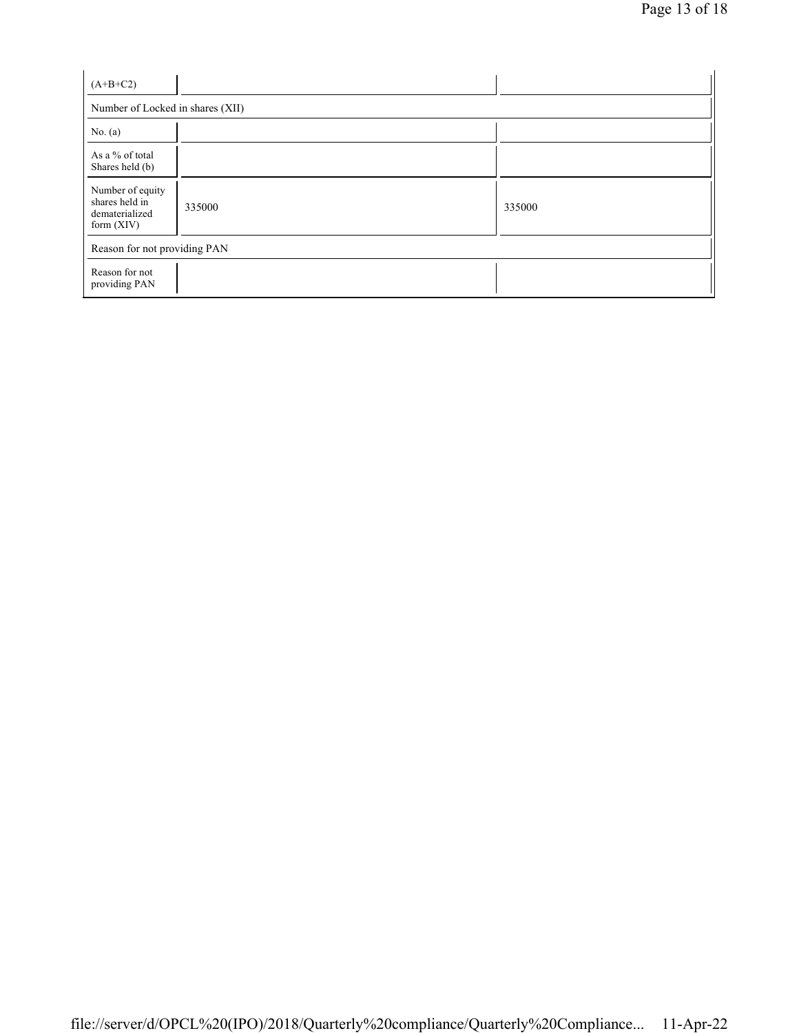| $(A+B+C2)$                                                           |        |        |  |  |  |
|----------------------------------------------------------------------|--------|--------|--|--|--|
| Number of Locked in shares (XII)                                     |        |        |  |  |  |
| No. $(a)$                                                            |        |        |  |  |  |
| As a % of total<br>Shares held (b)                                   |        |        |  |  |  |
| Number of equity<br>shares held in<br>dematerialized<br>form $(XIV)$ | 335000 | 335000 |  |  |  |
| Reason for not providing PAN                                         |        |        |  |  |  |
| Reason for not<br>providing PAN                                      |        |        |  |  |  |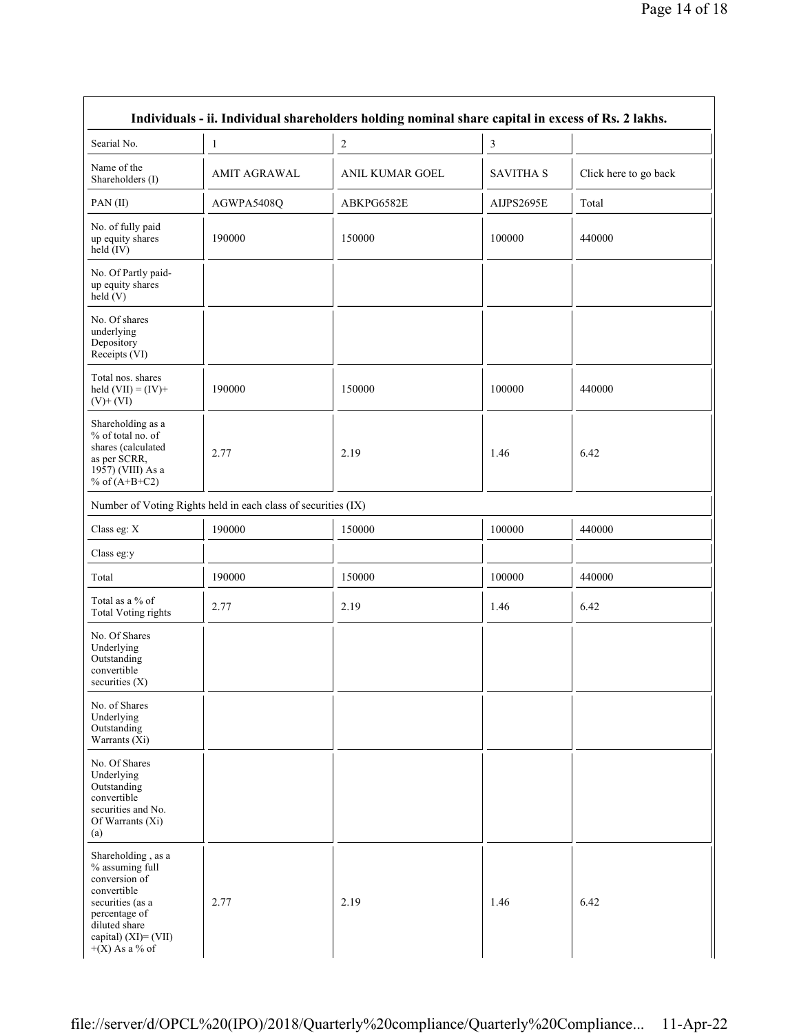| Individuals - ii. Individual shareholders holding nominal share capital in excess of Rs. 2 lakhs.                                                                          |                                                               |                        |                  |                       |  |
|----------------------------------------------------------------------------------------------------------------------------------------------------------------------------|---------------------------------------------------------------|------------------------|------------------|-----------------------|--|
| Searial No.                                                                                                                                                                | 1                                                             | 2                      | 3                |                       |  |
| Name of the<br>Shareholders (I)                                                                                                                                            | <b>AMIT AGRAWAL</b>                                           | <b>ANIL KUMAR GOEL</b> | <b>SAVITHA S</b> | Click here to go back |  |
| PAN(II)                                                                                                                                                                    | AGWPA5408Q                                                    | ABKPG6582E             | AIJPS2695E       | Total                 |  |
| No. of fully paid<br>up equity shares<br>$held$ (IV)                                                                                                                       | 190000                                                        | 150000                 | 100000           | 440000                |  |
| No. Of Partly paid-<br>up equity shares<br>held(V)                                                                                                                         |                                                               |                        |                  |                       |  |
| No. Of shares<br>underlying<br>Depository<br>Receipts (VI)                                                                                                                 |                                                               |                        |                  |                       |  |
| Total nos. shares<br>held $(VII) = (IV) +$<br>$(V)$ + $(VI)$                                                                                                               | 190000                                                        | 150000                 | 100000           | 440000                |  |
| Shareholding as a<br>% of total no. of<br>shares (calculated<br>as per SCRR,<br>1957) (VIII) As a<br>% of $(A+B+C2)$                                                       | 2.77                                                          | 2.19                   | 1.46             | 6.42                  |  |
|                                                                                                                                                                            | Number of Voting Rights held in each class of securities (IX) |                        |                  |                       |  |
| Class eg: X                                                                                                                                                                | 190000                                                        | 150000                 | 100000           | 440000                |  |
| Class eg:y                                                                                                                                                                 |                                                               |                        |                  |                       |  |
| Total                                                                                                                                                                      | 190000                                                        | 150000                 | 100000           | 440000                |  |
| Total as a % of<br>Total Voting rights                                                                                                                                     | 2.77                                                          | 2.19                   | 1.46             | 6.42                  |  |
| No. Of Shares<br>Underlying<br>Outstanding<br>convertible<br>securities (X)                                                                                                |                                                               |                        |                  |                       |  |
| No. of Shares<br>Underlying<br>Outstanding<br>Warrants $(X_i)$                                                                                                             |                                                               |                        |                  |                       |  |
| No. Of Shares<br>Underlying<br>Outstanding<br>convertible<br>securities and No.<br>Of Warrants (Xi)<br>(a)                                                                 |                                                               |                        |                  |                       |  |
| Shareholding, as a<br>% assuming full<br>conversion of<br>convertible<br>securities (as a<br>percentage of<br>diluted share<br>capital) $(XI) = (VII)$<br>$+(X)$ As a % of | 2.77                                                          | 2.19                   | 1.46             | 6.42                  |  |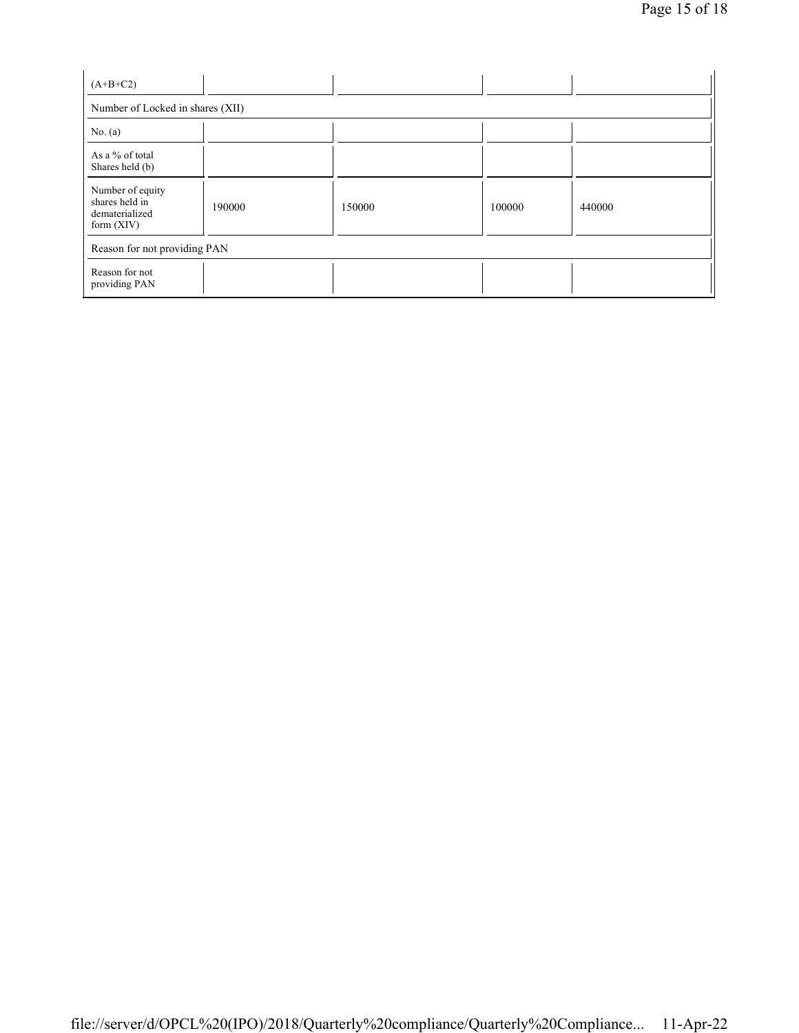| $(A+B+C2)$                                                           |        |        |        |        |  |
|----------------------------------------------------------------------|--------|--------|--------|--------|--|
| Number of Locked in shares (XII)                                     |        |        |        |        |  |
| No. $(a)$                                                            |        |        |        |        |  |
| As a % of total<br>Shares held (b)                                   |        |        |        |        |  |
| Number of equity<br>shares held in<br>dematerialized<br>form $(XIV)$ | 190000 | 150000 | 100000 | 440000 |  |
| Reason for not providing PAN                                         |        |        |        |        |  |
| Reason for not<br>providing PAN                                      |        |        |        |        |  |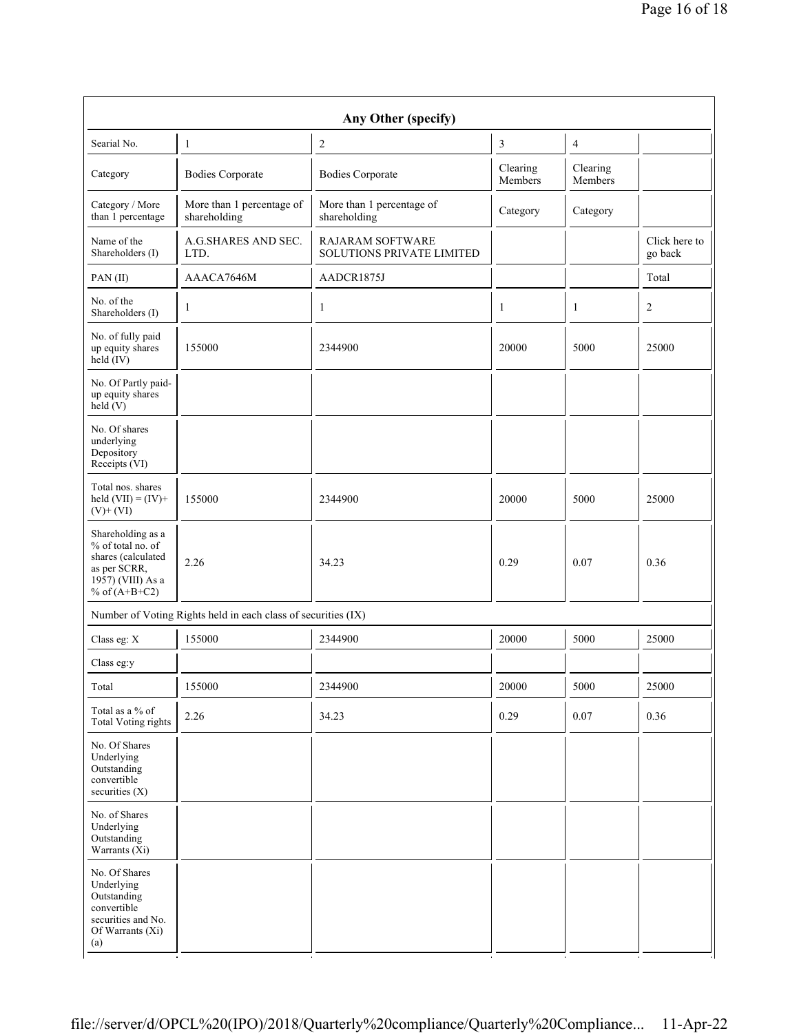| Any Other (specify)                                                                                                                |                                                               |                                                      |                     |                     |                          |  |
|------------------------------------------------------------------------------------------------------------------------------------|---------------------------------------------------------------|------------------------------------------------------|---------------------|---------------------|--------------------------|--|
| Searial No.                                                                                                                        | $\mathbf{1}$                                                  | $\overline{c}$                                       | 3                   | $\overline{4}$      |                          |  |
| Category                                                                                                                           | <b>Bodies Corporate</b>                                       | <b>Bodies Corporate</b>                              | Clearing<br>Members | Clearing<br>Members |                          |  |
| Category / More<br>than 1 percentage                                                                                               | More than 1 percentage of<br>shareholding                     | More than 1 percentage of<br>shareholding            | Category            | Category            |                          |  |
| Name of the<br>Shareholders (I)                                                                                                    | A.G.SHARES AND SEC.<br>LTD.                                   | <b>RAJARAM SOFTWARE</b><br>SOLUTIONS PRIVATE LIMITED |                     |                     | Click here to<br>go back |  |
| PAN(II)                                                                                                                            | AAACA7646M                                                    | AADCR1875J                                           |                     |                     | Total                    |  |
| No. of the<br>Shareholders (I)                                                                                                     | $\mathbf{1}$                                                  | 1                                                    | 1                   | 1                   | 2                        |  |
| No. of fully paid<br>up equity shares<br>$\text{held} (IV)$                                                                        | 155000                                                        | 2344900                                              | 20000               | 5000                | 25000                    |  |
| No. Of Partly paid-<br>up equity shares<br>$\text{held}(V)$                                                                        |                                                               |                                                      |                     |                     |                          |  |
| No. Of shares<br>underlying<br>Depository<br>Receipts (VI)                                                                         |                                                               |                                                      |                     |                     |                          |  |
| Total nos. shares<br>held $(VII) = (IV) +$<br>$(V)$ + $(VI)$                                                                       | 155000                                                        | 2344900                                              | 20000               | 5000                | 25000                    |  |
| Shareholding as a<br>% of total no. of<br>shares (calculated<br>as per SCRR,<br>$19\overline{57}$ ) (VIII) As a<br>% of $(A+B+C2)$ | 2.26                                                          | 34.23                                                | 0.29                | 0.07                | 0.36                     |  |
|                                                                                                                                    | Number of Voting Rights held in each class of securities (IX) |                                                      |                     |                     |                          |  |
| Class eg: X                                                                                                                        | 155000                                                        | 2344900                                              | 20000               | 5000                | 25000                    |  |
| Class eg:y                                                                                                                         |                                                               |                                                      |                     |                     |                          |  |
| Total                                                                                                                              | 155000                                                        | 2344900                                              | 20000               | 5000                | 25000                    |  |
| Total as a % of<br>Total Voting rights                                                                                             | 2.26                                                          | 34.23                                                | 0.29                | 0.07                | 0.36                     |  |
| No. Of Shares<br>Underlying<br>Outstanding<br>convertible<br>securities (X)                                                        |                                                               |                                                      |                     |                     |                          |  |
| No. of Shares<br>Underlying<br>Outstanding<br>Warrants $(X_i)$                                                                     |                                                               |                                                      |                     |                     |                          |  |
| No. Of Shares<br>Underlying<br>Outstanding<br>convertible<br>securities and No.<br>Of Warrants (Xi)<br>(a)                         |                                                               |                                                      |                     |                     |                          |  |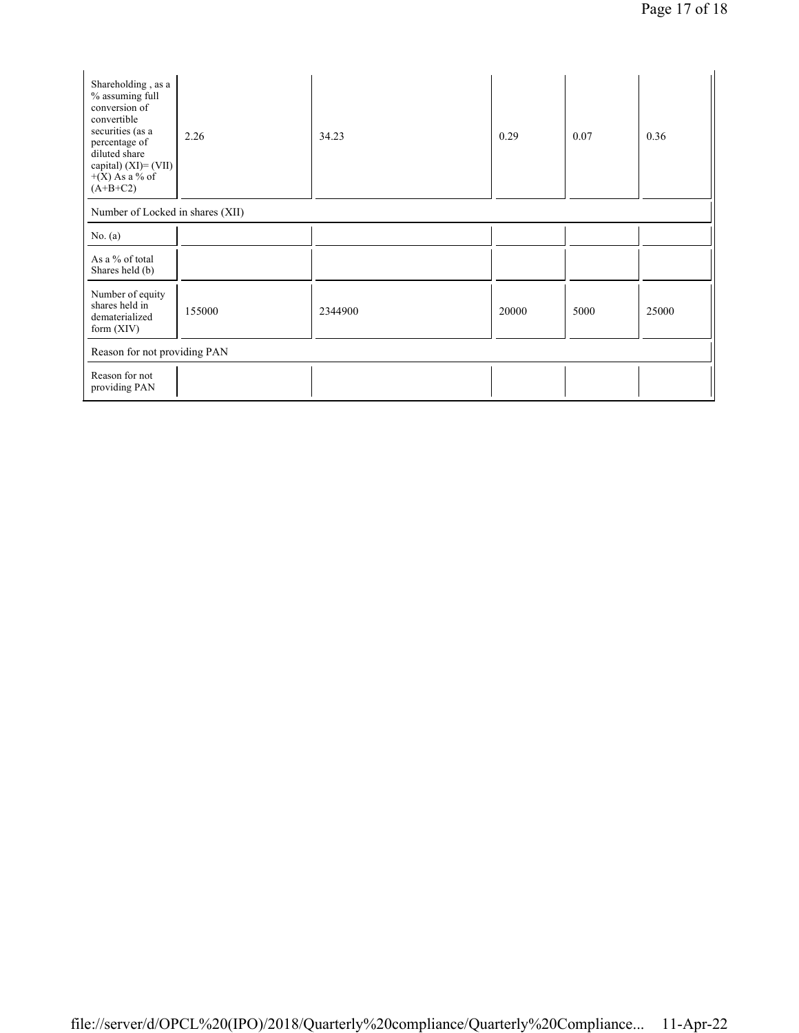| Shareholding, as a<br>% assuming full<br>conversion of<br>convertible<br>securities (as a<br>percentage of<br>diluted share<br>capital) $(XI) = (VII)$<br>$+(X)$ As a % of<br>$(A+B+C2)$ | 2.26                             | 34.23   | 0.29  | 0.07 | 0.36  |  |
|------------------------------------------------------------------------------------------------------------------------------------------------------------------------------------------|----------------------------------|---------|-------|------|-------|--|
|                                                                                                                                                                                          | Number of Locked in shares (XII) |         |       |      |       |  |
| No. (a)                                                                                                                                                                                  |                                  |         |       |      |       |  |
| As a % of total<br>Shares held (b)                                                                                                                                                       |                                  |         |       |      |       |  |
| Number of equity<br>shares held in<br>dematerialized<br>form $(XIV)$                                                                                                                     | 155000                           | 2344900 | 20000 | 5000 | 25000 |  |
| Reason for not providing PAN                                                                                                                                                             |                                  |         |       |      |       |  |
| Reason for not<br>providing PAN                                                                                                                                                          |                                  |         |       |      |       |  |